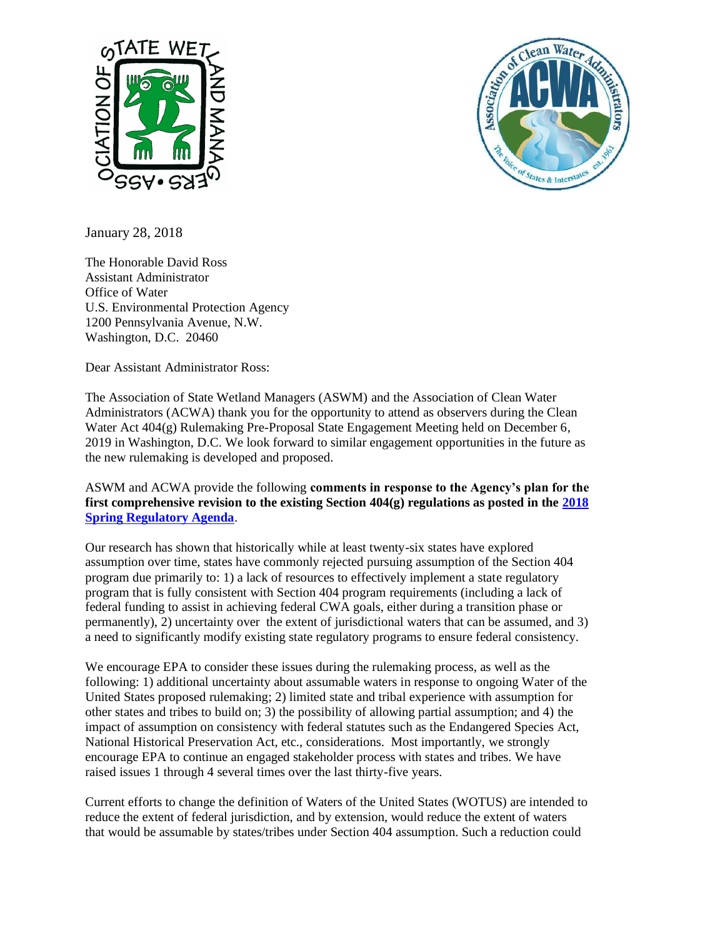



January 28, 2018

The Honorable David Ross Assistant Administrator Office of Water U.S. Environmental Protection Agency 1200 Pennsylvania Avenue, N.W. Washington, D.C. 20460

Dear Assistant Administrator Ross:

The Association of State Wetland Managers (ASWM) and the Association of Clean Water Administrators (ACWA) thank you for the opportunity to attend as observers during the Clean Water Act 404(g) Rulemaking Pre-Proposal State Engagement Meeting held on December 6, 2019 in Washington, D.C. We look forward to similar engagement opportunities in the future as the new rulemaking is developed and proposed.

ASWM and ACWA provide the following **comments in response to the Agency's plan for the first comprehensive revision to the existing Section 404(g) regulations as posted in the [2018](https://www.reginfo.gov/public/Forward?SearchTarget=Agenda&textfield=404%2528g%2529)  [Spring Regulatory Agenda](https://www.reginfo.gov/public/Forward?SearchTarget=Agenda&textfield=404%2528g%2529)**.

Our research has shown that historically while at least twenty-six states have explored assumption over time, states have commonly rejected pursuing assumption of the Section 404 program due primarily to: 1) a lack of resources to effectively implement a state regulatory program that is fully consistent with Section 404 program requirements (including a lack of federal funding to assist in achieving federal CWA goals, either during a transition phase or permanently), 2) uncertainty over the extent of jurisdictional waters that can be assumed, and 3) a need to significantly modify existing state regulatory programs to ensure federal consistency.

We encourage EPA to consider these issues during the rulemaking process, as well as the following: 1) additional uncertainty about assumable waters in response to ongoing Water of the United States proposed rulemaking; 2) limited state and tribal experience with assumption for other states and tribes to build on; 3) the possibility of allowing partial assumption; and 4) the impact of assumption on consistency with federal statutes such as the Endangered Species Act, National Historical Preservation Act, etc., considerations. Most importantly, we strongly encourage EPA to continue an engaged stakeholder process with states and tribes. We have raised issues 1 through 4 several times over the last thirty-five years.

Current efforts to change the definition of Waters of the United States (WOTUS) are intended to reduce the extent of federal jurisdiction, and by extension, would reduce the extent of waters that would be assumable by states/tribes under Section 404 assumption. Such a reduction could